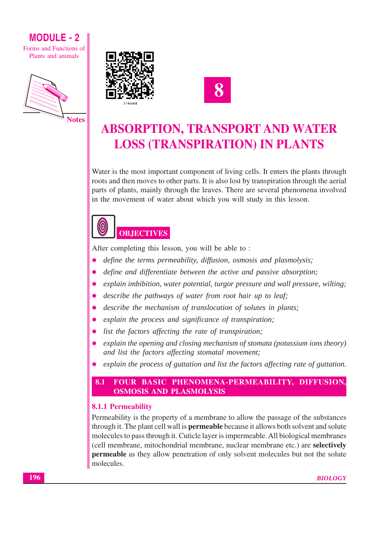Forms and Functions of Plants and animals





## **ABSORPTION, TRANSPORT AND WATER LOSS (TRANSPIRATION) IN PLANTS**

Water is the most important component of living cells. It enters the plants through roots and then moves to other parts. It is also lost by transpiration through the aerial parts of plants, mainly through the leaves. There are several phenomena involved in the movement of water about which you will study in this lesson.



After completing this lesson, you will be able to:

- define the terms permeability, diffusion, osmosis and plasmolysis;
- define and differentiate between the active and passive absorption; ă
- explain imbibition, water potential, turgor pressure and wall pressure, wilting;
- describe the pathways of water from root hair up to leaf;
- describe the mechanism of translocation of solutes in plants;  $\bullet$
- explain the process and significance of transpiration;
- list the factors affecting the rate of transpiration;
- explain the opening and closing mechanism of stomata (potassium ions theory) and list the factors affecting stomatal movement;
- explain the process of guttation and list the factors affecting rate of guttation.  $\bullet$

#### FOUR BASIC PHENOMENA-PERMEABILITY, DIFFUSION, 8.1 **OSMOSIS AND PLASMOLYSIS**

### **8.1.1 Permeability**

Permeability is the property of a membrane to allow the passage of the substances through it. The plant cell wall is **permeable** because it allows both solvent and solute molecules to pass through it. Cuticle layer is impermeable. All biological membranes (cell membrane, mitochondrial membrane, nuclear membrane etc.) are selectively **permeable** as they allow penetration of only solvent molecules but not the solute molecules.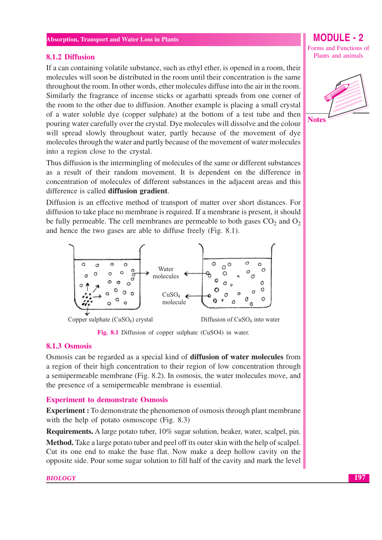#### 8.1.2 Diffusion

If a can containing volatile substance, such as ethyl ether, is opened in a room, their molecules will soon be distributed in the room until their concentration is the same throughout the room. In other words, ether molecules diffuse into the air in the room. Similarly the fragrance of incense sticks or agarbatti spreads from one corner of the room to the other due to diffusion. Another example is placing a small crystal of a water soluble dye (copper sulphate) at the bottom of a test tube and then pouring water carefully over the crystal. Dye molecules will dissolve and the colour will spread slowly throughout water, partly because of the movement of dye molecules through the water and partly because of the movement of water molecules into a region close to the crystal.

Thus diffusion is the intermingling of molecules of the same or different substances as a result of their random movement. It is dependent on the difference in concentration of molecules of different substances in the adjacent areas and this difference is called diffusion gradient.

Diffusion is an effective method of transport of matter over short distances. For diffusion to take place no membrane is required. If a membrane is present, it should be fully permeable. The cell membranes are permeable to both gases  $CO<sub>2</sub>$  and  $O<sub>2</sub>$ and hence the two gases are able to diffuse freely (Fig. 8.1).



Fig. 8.1 Diffusion of copper sulphate (CuSO4) in water.

#### 8.1.3 Osmosis

Osmosis can be regarded as a special kind of **diffusion of water molecules** from a region of their high concentration to their region of low concentration through a semipermeable membrane (Fig. 8.2). In osmosis, the water molecules move, and the presence of a semipermeable membrane is essential.

#### **Experiment to demonstrate Osmosis**

**Experiment**: To demonstrate the phenomenon of osmosis through plant membrane with the help of potato osmoscope (Fig. 8.3)

**Requirements.** A large potato tuber, 10% sugar solution, beaker, water, scalpel, pin.

**Method.** Take a large potato tuber and peel off its outer skin with the help of scalpel. Cut its one end to make the base flat. Now make a deep hollow cavity on the opposite side. Pour some sugar solution to fill half of the cavity and mark the level

Forms and Functions of Plants and animals

**MODULE - 2** 

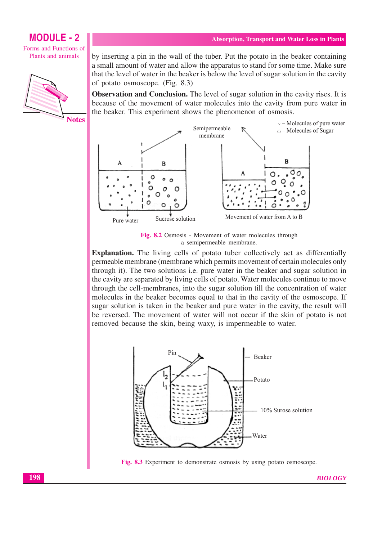Forms and Functions of Plants and animals



**Notes** 

**Absorption, Transport and Water Loss in Plants** 

by inserting a pin in the wall of the tuber. Put the potato in the beaker containing a small amount of water and allow the apparatus to stand for some time. Make sure that the level of water in the beaker is below the level of sugar solution in the cavity of potato osmoscope. (Fig. 8.3)

**Observation and Conclusion.** The level of sugar solution in the cavity rises. It is because of the movement of water molecules into the cavity from pure water in the beaker. This experiment shows the phenomenon of osmosis.



Fig. 8.2 Osmosis - Movement of water molecules through a semipermeable membrane.

**Explanation.** The living cells of potato tuber collectively act as differentially permeable membrane (membrane which permits movement of certain molecules only through it). The two solutions i.e. pure water in the beaker and sugar solution in the cavity are separated by living cells of potato. Water molecules continue to move through the cell-membranes, into the sugar solution till the concentration of water molecules in the beaker becomes equal to that in the cavity of the osmoscope. If sugar solution is taken in the beaker and pure water in the cavity, the result will be reversed. The movement of water will not occur if the skin of potato is not removed because the skin, being waxy, is impermeable to water.



Fig. 8.3 Experiment to demonstrate osmosis by using potato osmoscope.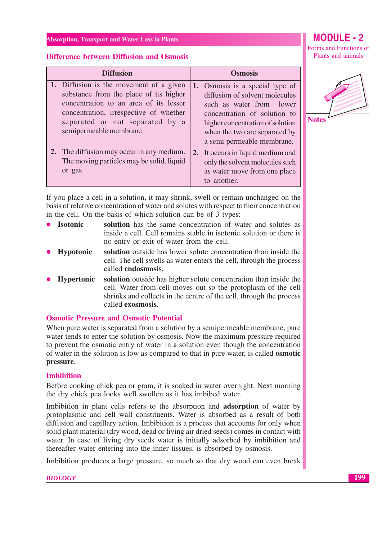Forms and Functions of Plants and animals

#### **Difference between Diffusion and Osmosis**

| <b>Diffusion</b> |                                                                                                                                                                                                                                     | <b>Osmosis</b> |                                                                                                                                                                                                                                  |
|------------------|-------------------------------------------------------------------------------------------------------------------------------------------------------------------------------------------------------------------------------------|----------------|----------------------------------------------------------------------------------------------------------------------------------------------------------------------------------------------------------------------------------|
|                  | 1. Diffusion is the movement of a given<br>substance from the place of its higher<br>concentration to an area of its lesser<br>concentration, irrespective of whether<br>separated or not separated by a<br>semipermeable membrane. |                | 1. Osmosis is a special type of<br>diffusion of solvent molecules<br>such as water from lower<br>concentration of solution to<br>higher concentration of solution<br>when the two are separated by<br>a semi permeable membrane. |
|                  | The diffusion may occur in any medium.<br>The moving particles may be solid, liquid<br>or gas.                                                                                                                                      |                | 2. It occurs in liquid medium and<br>only the solvent molecules such<br>as water move from one place<br>to another.                                                                                                              |

If you place a cell in a solution, it may shrink, swell or remain unchanged on the basis of relative concentration of water and solutes with respect to their concentration in the cell. On the basis of which solution can be of 3 types:

| $\bullet$ Isotonic | solution has the same concentration of water and solutes as         |
|--------------------|---------------------------------------------------------------------|
|                    | inside a cell. Cell remains stable in isotonic solution or there is |
|                    | no entry or exit of water from the cell.                            |

- Hypotonic solution outside has lower solute concentration than inside the cell. The cell swells as water enters the cell, through the process called endosmosis.
- solution outside has higher solute concentration than inside the **Hypertonic** cell. Water from cell moves out so the protoplasm of the cell shrinks and collects in the centre of the cell, through the process called exosmosis.

#### **Osmotic Pressure and Osmotic Potential**

When pure water is separated from a solution by a semipermeable membrane, pure water tends to enter the solution by osmosis. Now the maximum pressure required to prevent the osmotic entry of water in a solution even though the concentration of water in the solution is low as compared to that in pure water, is called **osmotic** pressure.

#### **Imbibition**

Before cooking chick pea or gram, it is soaked in water overnight. Next morning the dry chick pea looks well swollen as it has imbibed water.

Imbibition in plant cells refers to the absorption and **adsorption** of water by protoplasmic and cell wall constituents. Water is absorbed as a result of both diffusion and capillary action. Imbibition is a process that accounts for only when solid plant material (dry wood, dead or living air dried seeds) comes in contact with water. In case of living dry seeds water is initially adsorbed by imbibition and thereafter water entering into the inner tissues, is absorbed by osmosis.

Imbibition produces a large pressure, so much so that dry wood can even break

**Notes**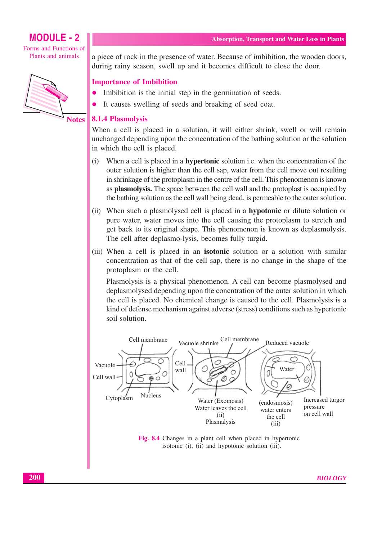Forms and Functions of Plants and animals



**Notes** 

a piece of rock in the presence of water. Because of imbibition, the wooden doors, during rainy season, swell up and it becomes difficult to close the door.

#### **Importance of Imbibition**

- Imbibition is the initial step in the germination of seeds.
- It causes swelling of seeds and breaking of seed coat.

#### **8.1.4 Plasmolysis**

When a cell is placed in a solution, it will either shrink, swell or will remain unchanged depending upon the concentration of the bathing solution or the solution in which the cell is placed.

- $(i)$ When a cell is placed in a **hypertonic** solution i.e. when the concentration of the outer solution is higher than the cell sap, water from the cell move out resulting in shrinkage of the protoplasm in the centre of the cell. This phenomenon is known as **plasmolysis.** The space between the cell wall and the protoplast is occupied by the bathing solution as the cell wall being dead, is permeable to the outer solution.
- (ii) When such a plasmolysed cell is placed in a **hypotonic** or dilute solution or pure water, water moves into the cell causing the protoplasm to stretch and get back to its original shape. This phenomenon is known as deplasmolysis. The cell after deplasmo-lysis, becomes fully turgid.
- (iii) When a cell is placed in an **isotonic** solution or a solution with similar concentration as that of the cell sap, there is no change in the shape of the protoplasm or the cell.

Plasmolysis is a physical phenomenon. A cell can become plasmolysed and deplasmolysed depending upon the concritation of the outer solution in which the cell is placed. No chemical change is caused to the cell. Plasmolysis is a kind of defense mechanism against adverse (stress) conditions such as hypertonic soil solution.



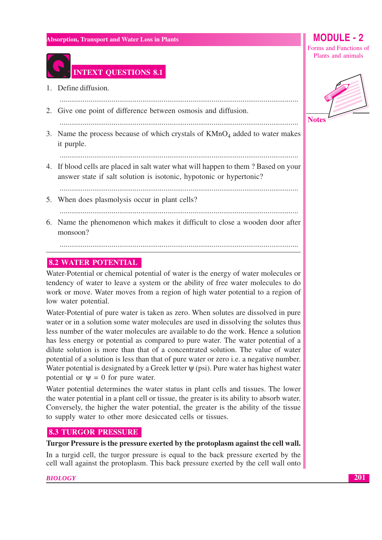

### **INTEXT QUESTIONS 8.1**

- 1. Define diffusion.
- 2. Give one point of difference between osmosis and diffusion.

3. Name the process because of which crystals of  $KMnO<sub>4</sub>$  added to water makes it purple.

4. If blood cells are placed in salt water what will happen to them? Based on your answer state if salt solution is isotonic, hypotonic or hypertonic?

- 5. When does plasmolysis occur in plant cells?
- 6. Name the phenomenon which makes it difficult to close a wooden door after monsoon?

#### **8.2 WATER POTENTIAL**

Water-Potential or chemical potential of water is the energy of water molecules or tendency of water to leave a system or the ability of free water molecules to do work or move. Water moves from a region of high water potential to a region of low water potential.

Water-Potential of pure water is taken as zero. When solutes are dissolved in pure water or in a solution some water molecules are used in dissolving the solutes thus less number of the water molecules are available to do the work. Hence a solution has less energy or potential as compared to pure water. The water potential of a dilute solution is more than that of a concentrated solution. The value of water potential of a solution is less than that of pure water or zero *i.e.* a negative number. Water potential is designated by a Greek letter  $\psi$  (psi). Pure water has highest water potential or  $\Psi = 0$  for pure water.

Water potential determines the water status in plant cells and tissues. The lower the water potential in a plant cell or tissue, the greater is its ability to absorb water. Conversely, the higher the water potential, the greater is the ability of the tissue to supply water to other more desiccated cells or tissues.

#### **8.3 TURGOR PRESSURE**

#### Turgor Pressure is the pressure exerted by the protoplasm against the cell wall.

In a turgid cell, the turgor pressure is equal to the back pressure exerted by the cell wall against the protoplasm. This back pressure exerted by the cell wall onto

#### **BIOLOGY**

Forms and Functions of Plants and animals

**MODULE - 2** 

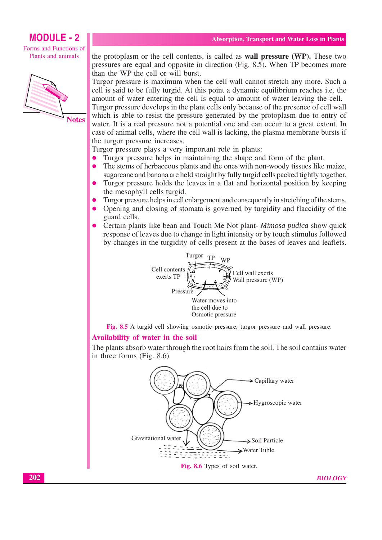Forms and Functions of Plants and animals



the protoplasm or the cell contents, is called as **wall pressure** (WP). These two pressures are equal and opposite in direction (Fig. 8.5). When TP becomes more than the WP the cell or will burst.

Turgor pressure is maximum when the cell wall cannot stretch any more. Such a cell is said to be fully turgid. At this point a dynamic equilibrium reaches *i.e.* the amount of water entering the cell is equal to amount of water leaving the cell.

Turgor pressure develops in the plant cells only because of the presence of cell wall which is able to resist the pressure generated by the protoplasm due to entry of water. It is a real pressure not a potential one and can occur to a great extent. In case of animal cells, where the cell wall is lacking, the plasma membrane bursts if the turgor pressure increases.

Turgor pressure plays a very important role in plants:

- Turgor pressure helps in maintaining the shape and form of the plant.  $\bullet$
- The stems of herbaceous plants and the ones with non-woody tissues like maize,  $\bullet$ sugarcane and banana are held straight by fully turgid cells packed tightly together.
- $\bullet$ Turgor pressure holds the leaves in a flat and horizontal position by keeping the mesophyll cells turgid.
- Turgor pressure helps in cell enlargement and consequently in stretching of the stems.
- Opening and closing of stomata is governed by turgidity and flaccidity of the guard cells.
- Certain plants like bean and Touch Me Not plant-*Mimosa pudica* show quick response of leaves due to change in light intensity or by touch stimulus followed by changes in the turgidity of cells present at the bases of leaves and leaflets.



Fig. 8.5 A turgid cell showing osmotic pressure, turgor pressure and wall pressure.

#### Availability of water in the soil

The plants absorb water through the root hairs from the soil. The soil contains water in three forms  $(Fig. 8.6)$ 

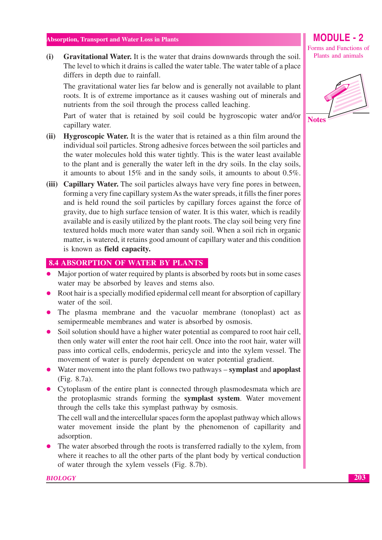$(i)$ Gravitational Water. It is the water that drains downwards through the soil. The level to which it drains is called the water table. The water table of a place differs in depth due to rainfall.

The gravitational water lies far below and is generally not available to plant roots. It is of extreme importance as it causes washing out of minerals and nutrients from the soil through the process called leaching.

Part of water that is retained by soil could be hygroscopic water and/or capillary water.

- (ii) Hygroscopic Water. It is the water that is retained as a thin film around the individual soil particles. Strong adhesive forces between the soil particles and the water molecules hold this water tightly. This is the water least available to the plant and is generally the water left in the dry soils. In the clay soils, it amounts to about  $15\%$  and in the sandy soils, it amounts to about  $0.5\%$ .
- (iii) Capillary Water. The soil particles always have very fine pores in between, forming a very fine capillary system As the water spreads, it fills the finer pores and is held round the soil particles by capillary forces against the force of gravity, due to high surface tension of water. It is this water, which is readily available and is easily utilized by the plant roots. The clay soil being very fine textured holds much more water than sandy soil. When a soil rich in organic matter, is watered, it retains good amount of capillary water and this condition is known as field capacity.

#### **8.4 ABSORPTION OF WATER BY PLANTS**

- Major portion of water required by plants is absorbed by roots but in some cases water may be absorbed by leaves and stems also.
- Root hair is a specially modified epidermal cell meant for absorption of capillary water of the soil.
- The plasma membrane and the vacuolar membrane (tonoplast) act as semipermeable membranes and water is absorbed by osmosis.
- Soil solution should have a higher water potential as compared to root hair cell, then only water will enter the root hair cell. Once into the root hair, water will pass into cortical cells, endodermis, pericycle and into the xylem vessel. The movement of water is purely dependent on water potential gradient.
- Water movement into the plant follows two pathways symplast and apoplast (Fig. 8.7a).
- Cytoplasm of the entire plant is connected through plasmodes mata which are the protoplasmic strands forming the symplast system. Water movement through the cells take this symplast pathway by osmosis.

The cell wall and the intercellular spaces form the apoplast pathway which allows water movement inside the plant by the phenomenon of capillarity and adsorption.

• The water absorbed through the roots is transferred radially to the xylem, from where it reaches to all the other parts of the plant body by vertical conduction of water through the xylem vessels (Fig. 8.7b).

#### **BIOLOGY**

Forms and Functions of Plants and animals

**MODULE - 2** 

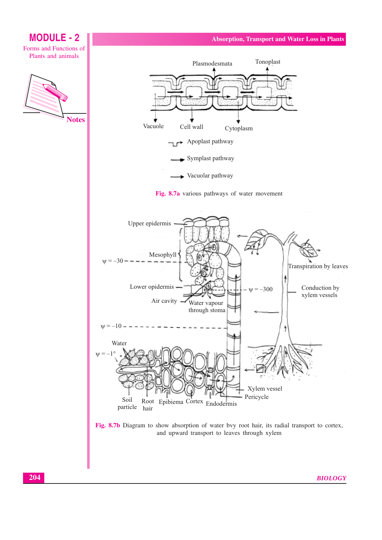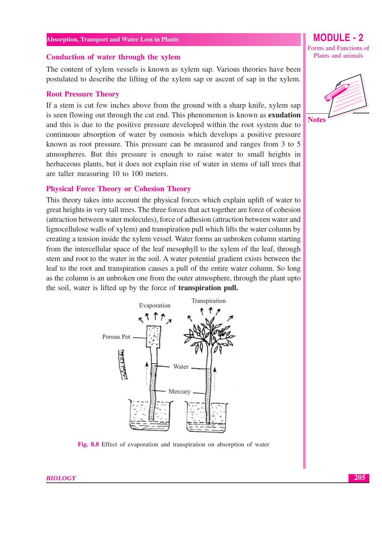#### Conduction of water through the xylem

The content of xylem vessels is known as xylem sap. Various theories have been postulated to describe the lifting of the xylem sap or ascent of sap in the xylem.

#### **Root Pressure Theory**

If a stem is cut few inches above from the ground with a sharp knife, xylem sap is seen flowing out through the cut end. This phenomenon is known as **exudation** and this is due to the positive pressure developed within the root system due to continuous absorption of water by osmosis which develops a positive pressure known as root pressure. This pressure can be measured and ranges from 3 to 5 atmospheres. But this pressure is enough to raise water to small heights in herbaceous plants, but it does not explain rise of water in stems of tall trees that are taller measuring 10 to 100 meters.

#### **Physical Force Theory or Cohesion Theory**

This theory takes into account the physical forces which explain uplift of water to great heights in very tall trees. The three forces that act together are force of cohesion (attraction between water molecules), force of adhesion (attraction between water and lignocellulose walls of xylem) and transpiration pull which lifts the water column by creating a tension inside the xylem yessel. Water forms an unbroken column starting from the intercellular space of the leaf mesophyll to the xylem of the leaf, through stem and root to the water in the soil. A water potential gradient exists between the leaf to the root and transpiration causes a pull of the entire water column. So long as the column is an unbroken one from the outer atmosphere, through the plant upto the soil, water is lifted up by the force of **transpiration pull.** 



Fig. 8.8 Effect of evaporation and transpiration on absorption of water

Forms and Functions of Plants and animals

**MODULE - 2** 



**BIOLOGY**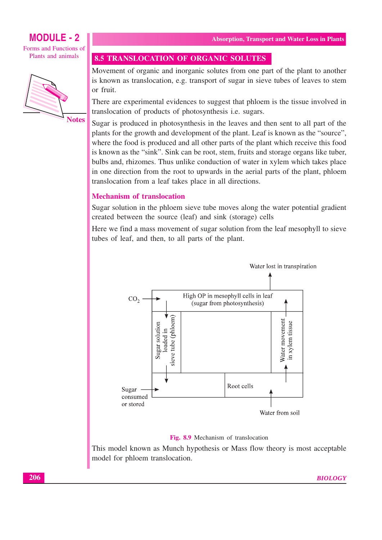### **MODULE - 2**

Forms and Functions of Plants and animals



**8.5 TRANSLOCATION OF ORGANIC SOLUTES** 

Movement of organic and inorganic solutes from one part of the plant to another is known as translocation, e.g. transport of sugar in sieve tubes of leaves to stem or fruit.

There are experimental evidences to suggest that phloem is the tissue involved in translocation of products of photosynthesis i.e. sugars.

Sugar is produced in photosynthesis in the leaves and then sent to all part of the plants for the growth and development of the plant. Leaf is known as the "source", where the food is produced and all other parts of the plant which receive this food is known as the "sink". Sink can be root, stem, fruits and storage organs like tuber, bulbs and, rhizomes. Thus unlike conduction of water in xylem which takes place in one direction from the root to upwards in the aerial parts of the plant, phloem translocation from a leaf takes place in all directions.

#### **Mechanism of translocation**

Sugar solution in the phloem sieve tube moves along the water potential gradient created between the source (leaf) and sink (storage) cells

Here we find a mass movement of sugar solution from the leaf mesophyll to sieve tubes of leaf, and then, to all parts of the plant.



#### Fig. 8.9 Mechanism of translocation

This model known as Munch hypothesis or Mass flow theory is most acceptable model for phloem translocation.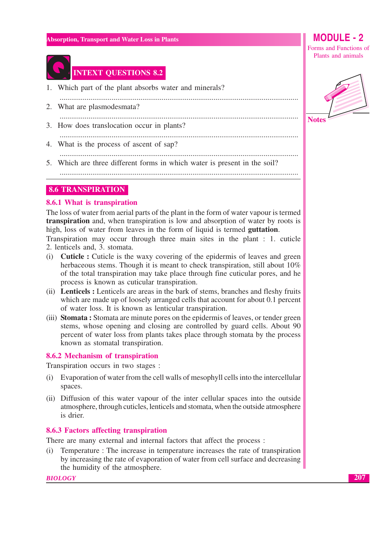

### **INTEXT QUESTIONS 8.2**

- 1. Which part of the plant absorbs water and minerals?
- 2. What are plasmodesmata?
- 3. How does translocation occur in plants?

- 
- 4. What is the process of ascent of sap?
- 5. Which are three different forms in which water is present in the soil?

#### **8.6 TRANSPIRATION**

#### 8.6.1 What is transpiration

The loss of water from aerial parts of the plant in the form of water vapour is termed transpiration and, when transpiration is low and absorption of water by roots is high, loss of water from leaves in the form of liquid is termed **guttation**.

Transpiration may occur through three main sites in the plant : 1. cuticle 2. lenticels and, 3. stomata.

- (i) **Cuticle :** Cuticle is the waxy covering of the epidermis of leaves and green herbaceous stems. Though it is meant to check transpiration, still about 10% of the total transpiration may take place through fine cuticular pores, and he process is known as cuticular transpiration.
- (ii) Lenticels : Lenticels are areas in the bark of stems, branches and fleshy fruits which are made up of loosely arranged cells that account for about 0.1 percent of water loss. It is known as lenticular transpiration.
- (iii) Stomata: Stomata are minute pores on the epidermis of leaves, or tender green stems, whose opening and closing are controlled by guard cells. About 90 percent of water loss from plants takes place through stomata by the process known as stomatal transpiration.

#### 8.6.2 Mechanism of transpiration

Transpiration occurs in two stages :

- (i) Evaporation of water from the cell walls of mesophyll cells into the intercellular spaces.
- (ii) Diffusion of this water vapour of the inter cellular spaces into the outside atmosphere, through cuticles, lenticels and stomata, when the outside atmosphere is drier.

#### 8.6.3 Factors affecting transpiration

There are many external and internal factors that affect the process:

(i) Temperature : The increase in temperature increases the rate of transpiration by increasing the rate of evaporation of water from cell surface and decreasing the humidity of the atmosphere.

**BIOLOGY** 



Plants and animals



207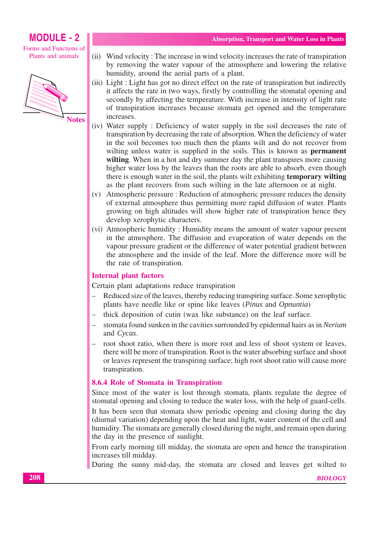### **MODULE - 2**

Forms and Functions of Plants and animals



- (ii) Wind velocity: The increase in wind velocity increases the rate of transpiration by removing the water vapour of the atmosphere and lowering the relative humidity, around the aerial parts of a plant.
- (iii) Light: Light has got no direct effect on the rate of transpiration but indirectly it affects the rate in two ways, firstly by controlling the stomatal opening and secondly by affecting the temperature. With increase in intensity of light rate of transpiration increases because stomata get opened and the temperature increases.
- (iv) Water supply: Deficiency of water supply in the soil decreases the rate of transpiration by decreasing the rate of absorption. When the deficiency of water in the soil becomes too much then the plants wilt and do not recover from wilting unless water is supplied in the soils. This is known as **permanent** wilting. When in a hot and dry summer day the plant transpires more causing higher water loss by the leaves than the roots are able to absorb, even though there is enough water in the soil, the plants wilt exhibiting temporary wilting as the plant recovers from such wilting in the late afternoon or at night.
- (v) Atmospheric pressure: Reduction of atmospheric pressure reduces the density of external atmosphere thus permitting more rapid diffusion of water. Plants growing on high altitudes will show higher rate of transpiration hence they develop xerophytic characters.
- (vi) Atmospheric humidity: Humidity means the amount of water vapour present in the atmosphere. The diffusion and evaporation of water depends on the vapour pressure gradient or the difference of water potential gradient between the atmosphere and the inside of the leaf. More the difference more will be the rate of transpiration.

#### **Internal plant factors**

Certain plant adaptations reduce transpiration

- Reduced size of the leaves, thereby reducing transpiring surface. Some xerophytic plants have needle like or spine like leaves (*Pinus* and *Opnuntia*)
- thick deposition of cutin (wax like substance) on the leaf surface.
- stomata found sunken in the cavities surrounded by epidermal hairs as in Nerium and Cycas.
- root shoot ratio, when there is more root and less of shoot system or leaves, there will be more of transpiration. Root is the water absorbing surface and shoot or leaves represent the transpiring surface; high root shoot ratio will cause more transpiration.

#### 8.6.4 Role of Stomata in Transpiration

Since most of the water is lost through stomata, plants regulate the degree of stomatal opening and closing to reduce the water loss, with the help of guard-cells.

It has been seen that stomata show periodic opening and closing during the day (diurnal variation) depending upon the heat and light, water content of the cell and humidity. The stomata are generally closed during the night, and remain open during the day in the presence of sunlight.

From early morning till midday, the stomata are open and hence the transpiration increases till midday.

During the sunny mid-day, the stomata are closed and leaves get wilted to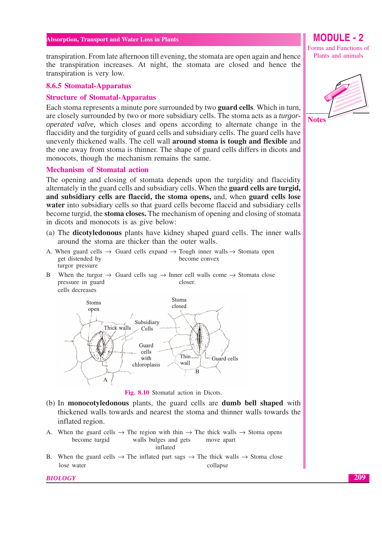transpiration. From late afternoon till evening, the stomata are open again and hence the transpiration increases. At night, the stomata are closed and hence the transpiration is very low.

#### 8.6.5 Stomatal-Apparatus

#### **Structure of Stomatal-Apparatus**

Each stoma represents a minute pore surrounded by two **guard cells**. Which in turn, are closely surrounded by two or more subsidiary cells. The stoma acts as a *turgoroperated valve*, which closes and opens according to alternate change in the flaccidity and the turgidity of guard cells and subsidiary cells. The guard cells have unevenly thickened walls. The cell wall **around stoma is tough and flexible** and the one away from stoma is thinner. The shape of guard cells differs in dicots and monocots, though the mechanism remains the same.

#### **Mechanism of Stomatal action**

The opening and closing of stomata depends upon the turgidity and flaccidity alternately in the guard cells and subsidiary cells. When the guard cells are turgid, and subsidiary cells are flaccid, the stoma opens, and, when guard cells lose **water** into subsidiary cells so that guard cells become flaccid and subsidiary cells become turgid, the **stoma closes.** The mechanism of opening and closing of stomata in dicots and monocots is as give below:

- (a) The **dicotyledonous** plants have kidney shaped guard cells. The inner walls around the stoma are thicker than the outer walls.
- A. When guard cells  $\rightarrow$  Guard cells expand  $\rightarrow$  Tough inner walls  $\rightarrow$  Stomata open get distended by become convex turgor pressure
- When the turgor  $\rightarrow$  Guard cells sag  $\rightarrow$  Inner cell walls come  $\rightarrow$  Stomata close  $\mathbf{R}$ pressure in guard closer.





- (b) In **monocotyledonous** plants, the guard cells are **dumb bell shaped** with thickened walls towards and nearest the stoma and thinner walls towards the inflated region.
- A. When the guard cells  $\rightarrow$  The region with thin  $\rightarrow$  The thick walls  $\rightarrow$  Stoma opens become turgid walls bulges and gets move apart inflated
- B. When the guard cells  $\rightarrow$  The inflated part sags  $\rightarrow$  The thick walls  $\rightarrow$  Stoma close lose water collapse

**BIOLOGY** 

### **MODULE - 2**

Forms and Functions of Plants and animals



209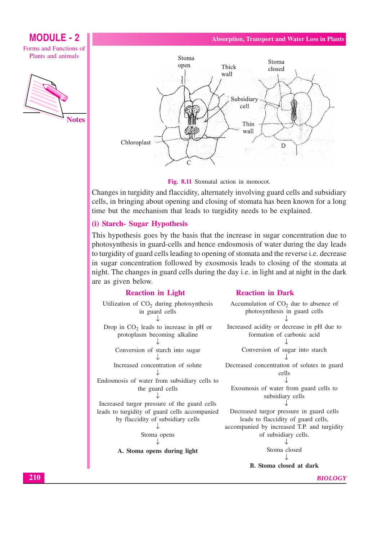### **MODULE - 2**

Forms and Functions of Plants and animals





Fig. 8.11 Stomatal action in monocot.

Changes in turgidity and flaccidity, alternately involving guard cells and subsidiary cells, in bringing about opening and closing of stomata has been known for a long time but the mechanism that leads to turgidity needs to be explained.

#### (i) Starch- Sugar Hypothesis

This hypothesis goes by the basis that the increase in sugar concentration due to photosynthesis in guard-cells and hence endosmosis of water during the day leads to turgidity of guard cells leading to opening of stomata and the reverse *i.e.* decrease in sugar concentration followed by exosmosis leads to closing of the stomata at night. The changes in guard cells during the day i.e. in light and at night in the dark are as given below.

#### **Reaction in Light**

#### **Reaction in Dark**

| Utilization of $CO2$ during photosynthesis<br>in guard cells | Accumulation of $CO2$ due to absence of<br>photosynthesis in guard cells |
|--------------------------------------------------------------|--------------------------------------------------------------------------|
|                                                              |                                                                          |
| Drop in $CO2$ leads to increase in pH or                     | Increased acidity or decrease in pH due to                               |
| protoplasm becoming alkaline                                 | formation of carbonic acid                                               |
| Conversion of starch into sugar                              | Conversion of sugar into starch                                          |
| Increased concentration of solute                            | Decreased concentration of solutes in guard                              |
|                                                              | cells                                                                    |
| Endosmosis of water from subsidiary cells to                 |                                                                          |
| the guard cells                                              | Exosmosis of water from guard cells to                                   |
|                                                              | subsidiary cells                                                         |
| Increased turgor pressure of the guard cells                 |                                                                          |
| leads to turgidity of guard cells accompanied                | Decreased turgor pressure in guard cells                                 |
| by flaccidity of subsidiary cells                            | leads to flaccidity of guard cells,                                      |
|                                                              | accompanied by increased T.P. and turgidity                              |
| Stoma opens                                                  | of subsidiary cells.                                                     |
|                                                              |                                                                          |
| A. Stoma opens during light                                  | Stoma closed                                                             |
|                                                              | <b>B.</b> Stoma closed at dark                                           |
|                                                              |                                                                          |

**BIOLOGY**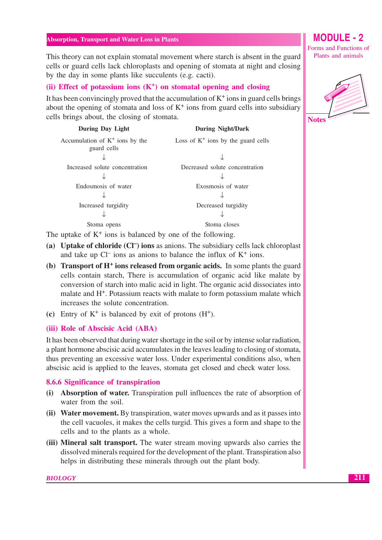This theory can not explain stomatal movement where starch is absent in the guard cells or guard cells lack chloroplasts and opening of stomata at night and closing by the day in some plants like succulents (e.g. cacti).

#### (ii) Effect of potassium ions  $(K^+)$  on stomatal opening and closing

It has been convincingly proved that the accumulation of  $K^+$  ions in guard cells brings about the opening of stomata and loss of  $K^+$  ions from guard cells into subsidiary cells brings about, the closing of stomata.

| During Day Light                                 | <b>During Night/Dark</b>              |
|--------------------------------------------------|---------------------------------------|
| Accumulation of $K^+$ ions by the<br>guard cells | Loss of $K^+$ ions by the guard cells |
|                                                  |                                       |
| Increased solute concentration                   | Decreased solute concentration        |
| Endosmosis of water                              | Exosmosis of water                    |
|                                                  |                                       |
| Increased turgidity                              | Decreased turgidity                   |
|                                                  |                                       |
| Stoma opens                                      | Stoma closes                          |
|                                                  |                                       |

The uptake of  $K^+$  ions is balanced by one of the following.

- (a) Uptake of chloride  $(CI^-)$  ions as anions. The subsidiary cells lack chloroplast and take up  $Cl^-$  ions as anions to balance the influx of  $K^+$  ions.
- (b) Transport of  $H^+$  ions released from organic acids. In some plants the guard cells contain starch, There is accumulation of organic acid like malate by conversion of starch into malic acid in light. The organic acid dissociates into malate and H<sup>+</sup>. Potassium reacts with malate to form potassium malate which increases the solute concentration.
- (c) Entry of  $K^+$  is balanced by exit of protons  $(H^+)$ .

#### (iii) Role of Abscisic Acid (ABA)

It has been observed that during water shortage in the soil or by intense solar radiation, a plant hormone abscisic acid accumulates in the leaves leading to closing of stomata, thus preventing an excessive water loss. Under experimental conditions also, when abscisic acid is applied to the leaves, stomata get closed and check water loss.

#### 8.6.6 Significance of transpiration

- (i) Absorption of water. Transpiration pull influences the rate of absorption of water from the soil.
- (ii) Water movement. By transpiration, water moves upwards and as it passes into the cell vacuoles, it makes the cells turgid. This gives a form and shape to the cells and to the plants as a whole.
- (iii) Mineral salt transport. The water stream moving upwards also carries the dissolved minerals required for the development of the plant. Transpiration also helps in distributing these minerals through out the plant body.

**MODULE - 2** Forms and Functions of Plants and animals

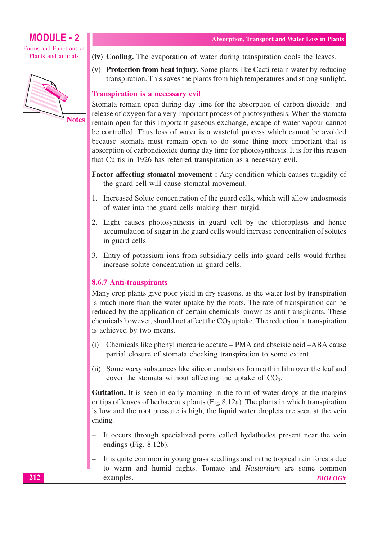### **MODULE - 2**

Forms and Functions of Plants and animals



- (iv) Cooling. The evaporation of water during transpiration cools the leaves.
- (v) Protection from heat injury. Some plants like Cacti retain water by reducing transpiration. This saves the plants from high temperatures and strong sunlight.

#### **Transpiration is a necessary evil**

Stomata remain open during day time for the absorption of carbon dioxide and release of oxygen for a very important process of photosynthesis. When the stomata remain open for this important gaseous exchange, escape of water vapour cannot be controlled. Thus loss of water is a wasteful process which cannot be avoided because stomata must remain open to do some thing more important that is absorption of carbondioxide during day time for photosynthesis. It is for this reason that Curtis in 1926 has referred transpiration as a necessary evil.

- Factor affecting stomatal movement : Any condition which causes turgidity of the guard cell will cause stomatal movement.
- 1. Increased Solute concentration of the guard cells, which will allow endosmosis of water into the guard cells making them turgid.
- 2. Light causes photosynthesis in guard cell by the chloroplasts and hence accumulation of sugar in the guard cells would increase concentration of solutes in guard cells.
- 3. Entry of potassium ions from subsidiary cells into guard cells would further increase solute concentration in guard cells.

#### 8.6.7 Anti-transpirants

Many crop plants give poor yield in dry seasons, as the water lost by transpiration is much more than the water uptake by the roots. The rate of transpiration can be reduced by the application of certain chemicals known as anti transpirants. These chemicals however, should not affect the  $CO<sub>2</sub>$  uptake. The reduction in transpiration is achieved by two means.

- Chemicals like phenyl mercuric acetate PMA and abscisic acid ABA cause  $(i)$ partial closure of stomata checking transpiration to some extent.
- (ii) Some waxy substances like silicon emulsions form a thin film over the leaf and cover the stomata without affecting the uptake of  $CO<sub>2</sub>$ .

Guttation. It is seen in early morning in the form of water-drops at the margins or tips of leaves of herbaceous plants (Fig. 8.12a). The plants in which transpiration is low and the root pressure is high, the liquid water droplets are seen at the vein ending.

- It occurs through specialized pores called hydathodes present near the vein endings (Fig.  $8.12b$ ).
- It is quite common in young grass seedlings and in the tropical rain forests due to warm and humid nights. Tomato and Nasturtium are some common examples. **BIOLOGY**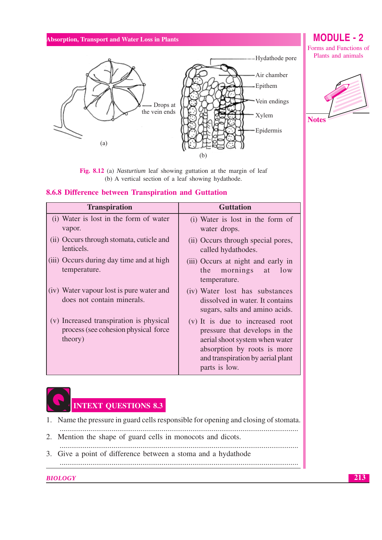

Fig. 8.12 (a) Nasturtium leaf showing guttation at the margin of leaf (b) A vertical section of a leaf showing hydathode.

#### 8.6.8 Difference between Transpiration and Guttation

| <b>Transpiration</b>                                                                        | <b>Guttation</b>                                                                                                                                                                        |  |
|---------------------------------------------------------------------------------------------|-----------------------------------------------------------------------------------------------------------------------------------------------------------------------------------------|--|
| (i) Water is lost in the form of water<br>vapor.                                            | (i) Water is lost in the form of<br>water drops.                                                                                                                                        |  |
| (ii) Occurs through stomata, cuticle and<br>lenticels.                                      | (ii) Occurs through special pores,<br>called hydathodes.                                                                                                                                |  |
| (iii) Occurs during day time and at high<br>temperature.                                    | (iii) Occurs at night and early in<br>mornings at<br>low<br>the<br>temperature.                                                                                                         |  |
| (iv) Water vapour lost is pure water and<br>does not contain minerals.                      | (iv) Water lost has substances<br>dissolved in water. It contains<br>sugars, salts and amino acids.                                                                                     |  |
| (v) Increased transpiration is physical<br>process (see cohesion physical force)<br>theory) | (v) It is due to increased root<br>pressure that develops in the<br>aerial shoot system when water<br>absorption by roots is more<br>and transpiration by aerial plant<br>parts is low. |  |



1. Name the pressure in guard cells responsible for opening and closing of stomata.

- 2. Mention the shape of guard cells in monocots and dicots.
- 
- 3. Give a point of difference between a stoma and a hydathode

**BIOLOGY** 

### **MODULE - 2**

Forms and Functions of Plants and animals

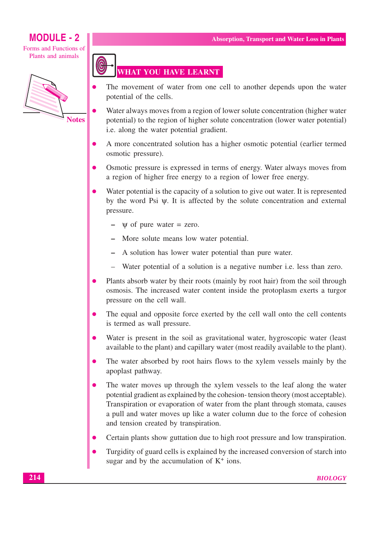Forms and Functions of Plants and animals



### **WHAT YOU HAVE LEARNT**

- The movement of water from one cell to another depends upon the water potential of the cells.
- Water always moves from a region of lower solute concentration (higher water potential) to the region of higher solute concentration (lower water potential) i.e. along the water potential gradient.
- A more concentrated solution has a higher osmotic potential (earlier termed osmotic pressure).
- Osmotic pressure is expressed in terms of energy. Water always moves from a region of higher free energy to a region of lower free energy.
- Water potential is the capacity of a solution to give out water. It is represented by the word Psi  $\psi$ . It is affected by the solute concentration and external pressure.
	- $\psi$  of pure water = zero.
	- More solute means low water potential.
	- A solution has lower water potential than pure water.
	- Water potential of a solution is a negative number *i.e.* less than zero.
- Plants absorb water by their roots (mainly by root hair) from the soil through osmosis. The increased water content inside the protoplasm exerts a turgor pressure on the cell wall.
- The equal and opposite force exerted by the cell wall onto the cell contents is termed as wall pressure.
- Water is present in the soil as gravitational water, hygroscopic water (least) available to the plant) and capillary water (most readily available to the plant).
- The water absorbed by root hairs flows to the xylem vessels mainly by the apoplast pathway.
- The water moves up through the xylem vessels to the leaf along the water potential gradient as explained by the cohesion-tension theory (most acceptable). Transpiration or evaporation of water from the plant through stomata, causes a pull and water moves up like a water column due to the force of cohesion and tension created by transpiration.
- Certain plants show guttation due to high root pressure and low transpiration.  $\bullet$
- Turgidity of guard cells is explained by the increased conversion of starch into sugar and by the accumulation of  $K^+$  ions.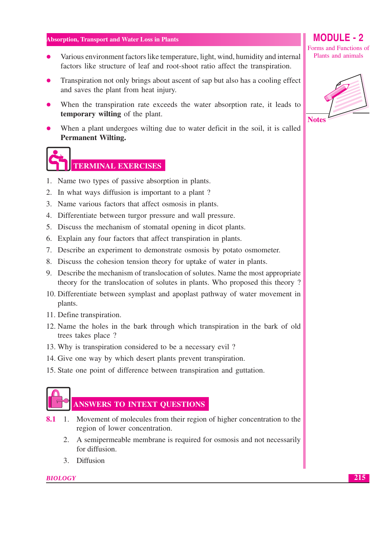- Various environment factors like temperature, light, wind, humidity and internal  $\bullet$ factors like structure of leaf and root-shoot ratio affect the transpiration.
- Transpiration not only brings about ascent of sap but also has a cooling effect and saves the plant from heat injury.
- When the transpiration rate exceeds the water absorption rate, it leads to temporary wilting of the plant.
- When a plant undergoes willing due to water deficit in the soil, it is called **Permanent Wilting.**

# **TERMINAL EXERCISES**

- 1. Name two types of passive absorption in plants.
- 2. In what ways diffusion is important to a plant?
- 3. Name various factors that affect osmosis in plants.
- 4. Differentiate between turgor pressure and wall pressure.
- 5. Discuss the mechanism of stomatal opening in dicot plants.
- 6. Explain any four factors that affect transpiration in plants.
- 7. Describe an experiment to demonstrate osmosis by potato osmometer.
- 8. Discuss the cohesion tension theory for uptake of water in plants.
- 9. Describe the mechanism of translocation of solutes. Name the most appropriate theory for the translocation of solutes in plants. Who proposed this theory?
- 10. Differentiate between symplast and apoplast pathway of water movement in plants.
- 11. Define transpiration.
- 12. Name the holes in the bark through which transpiration in the bark of old trees takes place?
- 13. Why is transpiration considered to be a necessary evil?
- 14. Give one way by which desert plants prevent transpiration.
- 15. State one point of difference between transpiration and guttation.



### **ANSWERS TO INTEXT QUESTIONS**

- **8.1** 1. Movement of molecules from their region of higher concentration to the region of lower concentration.
	- 2. A semipermeable membrane is required for osmosis and not necessarily for diffusion.
	- 3. Diffusion

#### **BIOLOGY**

**MODULE - 2** Forms and Functions of Plants and animals